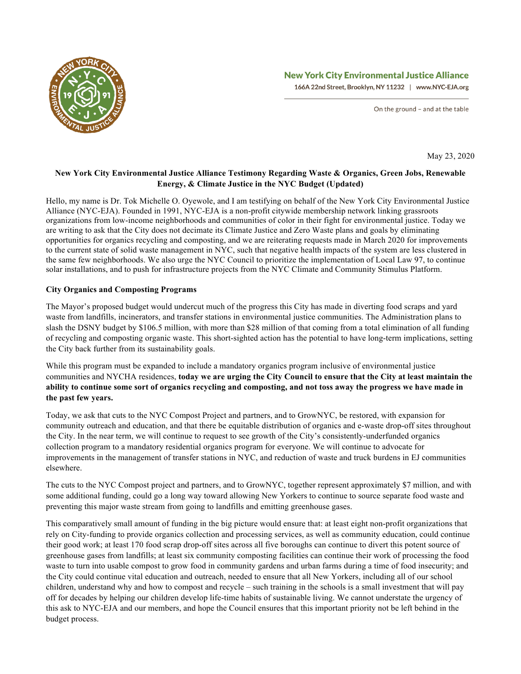

# **New York City Environmental Justice Alliance**

166A 22nd Street, Brooklyn, NY 11232 | www.NYC-EJA.org

On the ground - and at the table

May 23, 2020

# **New York City Environmental Justice Alliance Testimony Regarding Waste & Organics, Green Jobs, Renewable Energy, & Climate Justice in the NYC Budget (Updated)**

Hello, my name is Dr. Tok Michelle O. Oyewole, and I am testifying on behalf of the New York City Environmental Justice Alliance (NYC-EJA). Founded in 1991, NYC-EJA is a non-profit citywide membership network linking grassroots organizations from low-income neighborhoods and communities of color in their fight for environmental justice. Today we are writing to ask that the City does not decimate its Climate Justice and Zero Waste plans and goals by eliminating opportunities for organics recycling and composting, and we are reiterating requests made in March 2020 for improvements to the current state of solid waste management in NYC, such that negative health impacts of the system are less clustered in the same few neighborhoods. We also urge the NYC Council to prioritize the implementation of Local Law 97, to continue solar installations, and to push for infrastructure projects from the NYC Climate and Community Stimulus Platform.

## **City Organics and Composting Programs**

The Mayor's proposed budget would undercut much of the progress this City has made in diverting food scraps and yard waste from landfills, incinerators, and transfer stations in environmental justice communities. The Administration plans to slash the DSNY budget by \$106.5 million, with more than \$28 million of that coming from a total elimination of all funding of recycling and composting organic waste. This short-sighted action has the potential to have long-term implications, setting the City back further from its sustainability goals.

While this program must be expanded to include a mandatory organics program inclusive of environmental justice communities and NYCHA residences, **today we are urging the City Council to ensure that the City at least maintain the ability to continue some sort of organics recycling and composting, and not toss away the progress we have made in the past few years.**

Today, we ask that cuts to the NYC Compost Project and partners, and to GrowNYC, be restored, with expansion for community outreach and education, and that there be equitable distribution of organics and e-waste drop-off sites throughout the City. In the near term, we will continue to request to see growth of the City's consistently-underfunded organics collection program to a mandatory residential organics program for everyone. We will continue to advocate for improvements in the management of transfer stations in NYC, and reduction of waste and truck burdens in EJ communities elsewhere.

The cuts to the NYC Compost project and partners, and to GrowNYC, together represent approximately \$7 million, and with some additional funding, could go a long way toward allowing New Yorkers to continue to source separate food waste and preventing this major waste stream from going to landfills and emitting greenhouse gases.

This comparatively small amount of funding in the big picture would ensure that: at least eight non-profit organizations that rely on City-funding to provide organics collection and processing services, as well as community education, could continue their good work; at least 170 food scrap drop-off sites across all five boroughs can continue to divert this potent source of greenhouse gases from landfills; at least six community composting facilities can continue their work of processing the food waste to turn into usable compost to grow food in community gardens and urban farms during a time of food insecurity; and the City could continue vital education and outreach, needed to ensure that all New Yorkers, including all of our school children, understand why and how to compost and recycle – such training in the schools is a small investment that will pay off for decades by helping our children develop life-time habits of sustainable living. We cannot understate the urgency of this ask to NYC-EJA and our members, and hope the Council ensures that this important priority not be left behind in the budget process.